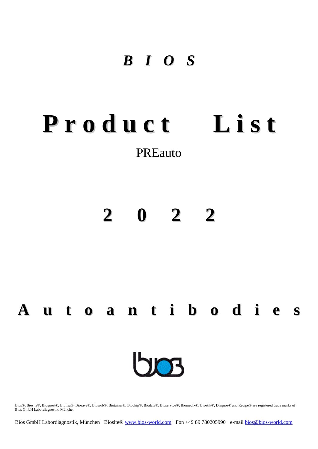## *B I O S*

# **P r o d u c t L i s t**

## PREauto

**2 0 2 2**



Bios®, Biosite®, Biognost®, Biolisa®, Biosave®, Biosorb®, Biotainer®, Biochip®, Biodata®, Bioservice®, Biomedix®, Biostik®, Diagnos® and Recipe® are registered trade marks of Bios GmbH Labordiagnostik, München

Bios GmbH Labordiagnostik, München Biosite® [www.bios-world.com](http://www.bios-world.com/) Fon +49 89 780205990 e-mai[l bios@bios-world.com](mailto:info@bios-world.com)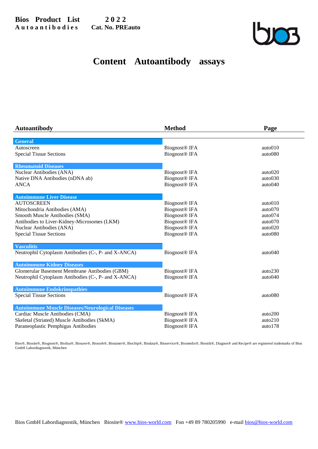

## **Content Autoantibody assays**

| Autoantibody                                            | <b>Method</b>             | Page                |
|---------------------------------------------------------|---------------------------|---------------------|
|                                                         |                           |                     |
| General                                                 |                           |                     |
| Autoscreen                                              | <b>Biognost®</b> IFA      | auto010             |
| <b>Special Tissue Sections</b>                          | <b>Biognost® IFA</b>      | auto <sub>080</sub> |
| <b>Rheumatoid Diseases</b>                              |                           |                     |
| Nuclear Antibodies (ANA)                                | <b>Biognost®</b> IFA      | auto020             |
| Native DNA Antibodies (nDNA ab)                         | <b>Biognost® IFA</b>      | auto030             |
| <b>ANCA</b>                                             | <b>Biognost® IFA</b>      | auto <sub>040</sub> |
| <b>Autoimmune Liver Disease</b>                         |                           |                     |
| <b>AUTOSCREEN</b>                                       | Biognost <sup>®</sup> IFA | auto010             |
| Mitochondria Antibodies (AMA)                           | <b>Biognost® IFA</b>      | auto070             |
| Smooth Muscle Antibodies (SMA)                          | <b>Biognost® IFA</b>      | auto074             |
| Antibodies to Liver-Kidney-Microsomes (LKM)             | <b>Biognost® IFA</b>      | auto070             |
|                                                         |                           | auto020             |
| Nuclear Antibodies (ANA)                                | <b>Biognost® IFA</b>      |                     |
| <b>Special Tissue Sections</b>                          | <b>Biognost® IFA</b>      | auto080             |
| <b>Vasculitis</b>                                       |                           |                     |
| Neutrophil Cytoplasm Antibodies (C-, P- and X-ANCA)     | <b>Biognost®</b> IFA      | auto <sub>040</sub> |
| <b>Autoimmune Kidney Diseases</b>                       |                           |                     |
| Glomerular Basement Membrane Antibodies (GBM)           | <b>Biognost®</b> IFA      | auto230             |
| Neutrophil Cytoplasm Antibodies (C-, P- and X-ANCA)     | <b>Biognost® IFA</b>      | auto <sub>040</sub> |
|                                                         |                           |                     |
| <b>Autoimmune Endokrinopathies</b>                      |                           |                     |
| <b>Special Tissue Sections</b>                          | <b>Biognost® IFA</b>      | auto080             |
| <b>Autoimmune Muscle Diseases/Neurological Diseases</b> |                           |                     |
| Cardiac Muscle Antibodies (CMA)                         | <b>Biognost® IFA</b>      | auto200             |
| Skeletal (Striated) Muscle Antibodies (SkMA)            | <b>Biognost® IFA</b>      | auto210             |
| Paraneoplastic Pemphigus Antibodies                     | Biognost <sup>®</sup> IFA | auto178             |
|                                                         |                           |                     |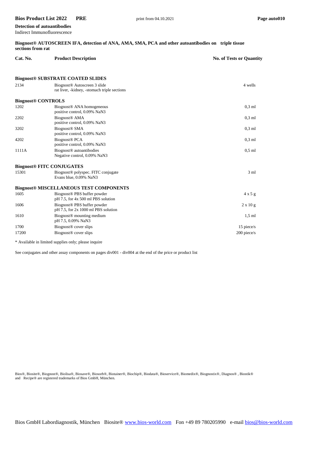| <b>Detection of autoantibodies</b> |
|------------------------------------|
| Indirect Immunofluorescence        |

#### **Biognost® AUTOSCREEN IFA, detection of ANA, AMA, SMA, PCA and other autoantibodies on triple tissue sections from rat**

| Cat. No.<br><b>Product Description</b> | <b>No. of Tests or Quantity</b> |
|----------------------------------------|---------------------------------|
|----------------------------------------|---------------------------------|

#### **Biognost® SUBSTRATE COATED SLIDES**

| 2134                      | Biognost <sup>®</sup> Autoscreen 3 slide<br>rat liver, -kidney, -stomach triple sections | 4 wells         |
|---------------------------|------------------------------------------------------------------------------------------|-----------------|
| <b>Biognost® CONTROLS</b> |                                                                                          |                 |
| 1202                      | Biognost <sup>®</sup> ANA homogeneous<br>positive control, 0.09% NaN3                    | $0.3$ ml        |
| 2202                      | Biognost <sup>®</sup> AMA<br>positive control, 0.09% NaN3                                | $0.3$ ml        |
| 3202                      | Biognost <sup>®</sup> SMA<br>positive control, 0.09% NaN3                                | $0.3$ ml        |
| 4202                      | <b>Biognost® PCA</b><br>positive control, 0.09% NaN3                                     | $0.3$ ml        |
| 1111A                     | Biognost <sup>®</sup> autoantibodies<br>Negative control, 0.09% NaN3                     | $0.5$ ml        |
|                           | <b>Biognost® FITC CONJUGATES</b>                                                         |                 |
| 15301                     | Biognost <sup>®</sup> polyspec. FITC conjugate<br>Evans blue, 0.09% NaN3                 | 3 <sub>ml</sub> |
|                           | <b>Biognost® MISCELLANEOUS TEST COMPONENTS</b>                                           |                 |
| 1605                      | Biognost <sup>®</sup> PBS buffer powder<br>pH 7.5, for 4x 500 ml PBS solution            | $4 \times 5$ g  |
| 1606                      | Biognost <sup>®</sup> PBS buffer powder<br>$pH$ 7.5, for 2x 1000 ml PBS solution         | $2 \times 10 g$ |
| 1610                      | Biognost <sup>®</sup> mounting medium<br>pH 7.5, 0.09% NaN3                              | $1.5$ ml        |
| 1700                      | Biognost <sup>®</sup> cover slips                                                        | $15$ piece/s    |
| 17200                     | Biognost <sup>®</sup> cover slips                                                        | 200 piece/s     |

\* Available in limited supplies only; please inquire

See conjugates and other assay components on pages div001 - div004 at the end of the price or product list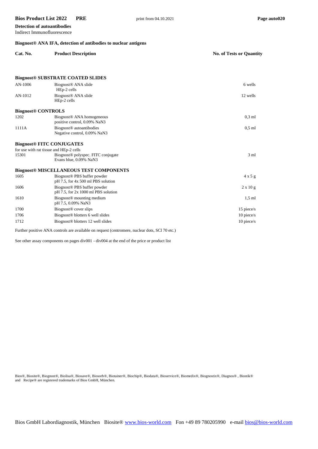### **Detection of autoantibodies**

#### Indirect Immunofluorescence

#### **Biognost® ANA IFA, detection of antibodies to nuclear antigens**

pH 7.5, 0.09% NaN3

Further positive ANA controls are available on request (centromere, nuclear dots, SCl 70 etc.)

See other assay components on pages div001 - div004 at the end of the price or product list

| Cat. No.                  | <b>Product Description</b>                                                     | <b>No. of Tests or Quantity</b> |
|---------------------------|--------------------------------------------------------------------------------|---------------------------------|
|                           |                                                                                |                                 |
|                           | <b>Biognost® SUBSTRATE COATED SLIDES</b>                                       |                                 |
| AN-1006                   | Biognost <sup>®</sup> ANA slide<br>HEp-2 cells                                 | 6 wells                         |
| AN-1012                   | Biognost <sup>®</sup> ANA slide<br>HEp-2 cells                                 | 12 wells                        |
| <b>Biognost® CONTROLS</b> |                                                                                |                                 |
| 1202                      | Biognost <sup>®</sup> ANA homogeneous<br>positive control, 0.09% NaN3          | $0.3$ ml                        |
| 1111A                     | Biognost <sup>®</sup> autoantibodies<br>Negative control, 0.09% NaN3           | $0.5$ ml                        |
|                           | <b>Biognost® FITC CONJUGATES</b>                                               |                                 |
|                           | for use with rat tissue and HEp-2 cells                                        |                                 |
| 15301                     | Biognost <sup>®</sup> polyspec. FITC conjugate<br>Evans blue, 0.09% NaN3       | 3 <sub>m1</sub>                 |
|                           | <b>Biognost® MISCELLANEOUS TEST COMPONENTS</b>                                 |                                 |
| 1605                      | Biognost <sup>®</sup> PBS buffer powder<br>pH 7.5, for 4x 500 ml PBS solution  | $4 \times 5$ g                  |
| 1606                      | Biognost <sup>®</sup> PBS buffer powder<br>pH 7.5, for 2x 1000 ml PBS solution | $2 \times 10 g$                 |

1610 Biognost® mounting medium 1,5 ml

1700 Biognost® cover slips 15 piece/s 1706 Biognost® blotters 6 well slides 10 piece/s 10 piece/s 1712 Biognost® blotters 12 well slides 10 piece/s 10 piece/s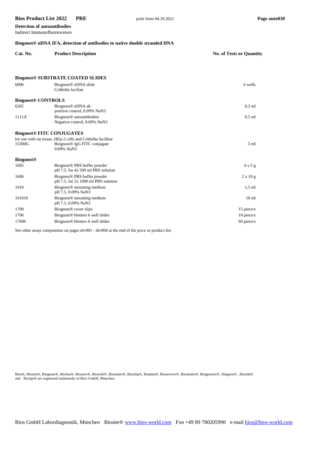**Detection of autoantibodies** Indirect Immunofluorescence

| Biognost <sup>®</sup> nDNA IFA, detection of antibodies to native double stranded DNA |                                                                                  |                          |
|---------------------------------------------------------------------------------------|----------------------------------------------------------------------------------|--------------------------|
| Cat. No.                                                                              | <b>Product Description</b>                                                       | No. of Tests or Quantity |
|                                                                                       |                                                                                  |                          |
|                                                                                       | <b>Biognost® SUBSTRATE COATED SLIDES</b>                                         |                          |
| 6006                                                                                  | Biognost <sup>®</sup> nDNA slide<br>Crithidia luciliae                           | 6 wells                  |
| <b>Biognost® CONTROLS</b>                                                             |                                                                                  |                          |
| 6202                                                                                  | Biognost <sup>®</sup> nDNA ab                                                    | $0.3$ ml                 |
|                                                                                       | positive control, 0.09% NaN3                                                     |                          |
| 1111A                                                                                 | Biognost <sup>®</sup> autoantibodies<br>Negative control, 0.09% NaN3             | $0.5$ ml                 |
|                                                                                       | <b>Biognost® FITC CONJUGATES</b>                                                 |                          |
|                                                                                       | for use with rat tissue, HEp-2 cells and Crithidia lucilliae                     |                          |
| 15300G                                                                                | Biognost <sup>®</sup> IgG FITC conjugate<br>0.09% NaN3                           | $3 \text{ ml}$           |
| <b>Biognost®</b>                                                                      |                                                                                  |                          |
| 1605                                                                                  | Biognost <sup>®</sup> PBS buffer powder<br>pH 7.5, for 4x 500 ml PBS solution    | $4 \times 5$ g           |
| 1606                                                                                  | Biognost <sup>®</sup> PBS buffer powder<br>$pH$ 7.5, for 2x 1000 ml PBS solution | $2 \times 10 g$          |
| 1610                                                                                  | Biognost <sup>®</sup> mounting medium<br>pH 7.5, 0.09% NaN3                      | $1.5$ ml                 |
| 161010                                                                                | Biognost <sup>®</sup> mounting medium<br>pH 7.5, 0.09% NaN3                      | 10 <sub>ml</sub>         |
| 1700                                                                                  | Biognost <sup>®</sup> cover slips                                                | 15 piece/s               |
| 1706                                                                                  | Biognost <sup>®</sup> blotters 6 well slides                                     | $10$ piece/s             |

17606 Biognost® blotters 6 well slides 60 piece/s 60 piece/s

See other assay components on pages div001 - div004 at the end of the price or product list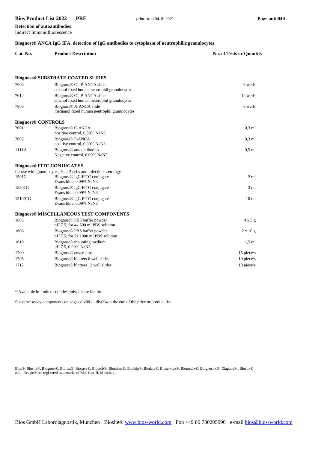**Detection of autoantibodies** Indirect Immunofluorescence

#### **Biognost® ANCA IgG IFA, detection of IgG antibodies to cytoplasm of neutrophilic granulocytes**

| Cat. No. | <b>Product Description</b> | <b>No. of Tests or Quantity</b> |
|----------|----------------------------|---------------------------------|
|----------|----------------------------|---------------------------------|

|                           | <b>Biognost® SUBSTRATE COATED SLIDES</b>                                              |                  |
|---------------------------|---------------------------------------------------------------------------------------|------------------|
| 7606                      | Biognost <sup>®</sup> C-, P-ANCA slide<br>ethanol fixed human neutrophil granulocytes | 6 wells          |
| 7612                      | Biognost <sup>®</sup> C-, P-ANCA slide<br>ethanol fixed human neutrophil granulocytes | 12 wells         |
| 7806                      | Biognost <sup>®</sup> X-ANCA slide<br>methanol fixed human neutrophil granulocytes    | 6 wells          |
| <b>Biognost® CONTROLS</b> |                                                                                       |                  |
| 7601                      | Biognost <sup>®</sup> C-ANCA<br>positive control, 0.09% NaN3                          | $0,3$ ml         |
| 7602                      | Biognost <sup>®</sup> P-ANCA<br>positive control, 0.09% NaN3                          | $0.3$ ml         |
| 1111A                     | Biognost <sup>®</sup> autoantibodies<br>Negative control, 0.09% NaN3                  | $0.5$ ml         |
|                           | <b>Biognost® FITC CONJUGATES</b>                                                      |                  |
|                           | for use with granulocytes, Hep-2 cells and infectious serology                        |                  |
| 1501G                     | Biognost <sup>®</sup> IgG FITC conjugate<br>Evans blue, 0.09% NaN3                    | $2 \text{ ml}$   |
| 15301G                    | Biognost <sup>®</sup> IgG FITC conjugate<br>Evans blue, 0.09% NaN3                    | $3 \text{ ml}$   |
| 151001G                   | Biognost <sup>®</sup> IgG FITC conjugate<br>Evans blue, 0.09% NaN3                    | 10 <sub>ml</sub> |
|                           | <b>Biognost® MISCELLANEOUS TEST COMPONENTS</b>                                        |                  |
| 1605                      | Biognost <sup>®</sup> PBS buffer powder<br>pH 7.5, for 4x 500 ml PBS solution         | $4 \times 5$ g   |
| 1606                      | Biognost <sup>®</sup> PBS buffer powder<br>$pH$ 7.5, for 2x 1000 ml PBS solution      | 2 x 10 g         |
| 1610                      | Biognost <sup>®</sup> mounting medium<br>pH 7.5, 0.09% NaN3                           | $1,5$ ml         |
| 1700                      | Biognost <sup>®</sup> cover slips                                                     | 15 piece/s       |
| 1706                      | Biognost <sup>®</sup> blotters 6 well slides                                          | $10$ piece/s     |
| 1712                      | Biognost <sup>®</sup> blotters 12 well slides                                         | 10 piece/s       |

\* Available in limited supplies only; please inquire.

See other assay components on pages div001 - div004 at the end of the price or product list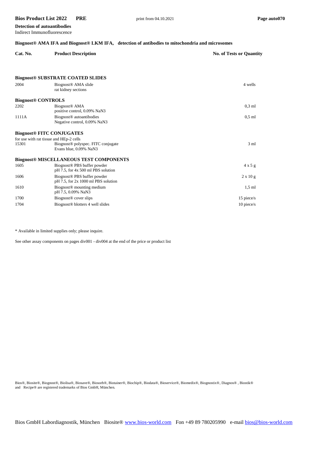**Detection of autoantibodies** Indirect Immunofluorescence

#### **Biognost® AMA IFA and Biognost® LKM IFA, detection of antibodies to mitochondria and microsomes**

| Cat. No.                  | <b>Product Description</b>                                           | <b>No. of Tests or Quantity</b> |
|---------------------------|----------------------------------------------------------------------|---------------------------------|
|                           | <b>Biognost® SUBSTRATE COATED SLIDES</b>                             |                                 |
| 2004                      | Biognost <sup>®</sup> AMA slide<br>rat kidney sections               | 4 wells                         |
| <b>Biognost® CONTROLS</b> |                                                                      |                                 |
| 2202                      | Biognost <sup>®</sup> AMA<br>positive control, 0.09% NaN3            | $0.3$ ml                        |
| 1111A                     | Biognost <sup>®</sup> autoantibodies<br>Negative control, 0.09% NaN3 | $0.5$ ml                        |
|                           | <b>Biognost® FITC CONJUGATES</b>                                     |                                 |
|                           | for use with rat tissue and HEp-2 cells                              |                                 |
| 15301                     | Biognost <sup>®</sup> polyspec. FITC conjugate                       | 3 <sub>ml</sub>                 |

Evans blue, 0.09% NaN3 **Biognost® MISCELLANEOUS TEST COMPONENTS** 1605 Biognost® PBS buffer powder 4 x 5 g pH 7.5, for 4x 500 ml PBS solution 1606 Biognost® PBS buffer powder 2 x 10 g pH 7.5, for 2x 1000 ml PBS solution 1610 Biognost® mounting medium 1,5 ml pH 7.5, 0.09% NaN3 1700 Biognost® cover slips 15 piece/s 1704 Biognost® blotters 4 well slides 10 piece/s

\* Available in limited supplies only; please inquire.

See other assay components on pages div001 - div004 at the end of the price or product list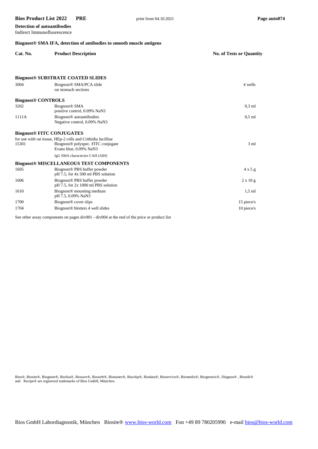**Detection of autoantibodies** Indirect Immunofluorescence

#### **Biognost® SMA IFA, detection of antibodies to smooth muscle antigens**

| Cat. No.                                    | <b>Product Description</b>                                                                                                               | <b>No. of Tests or Quantity</b> |
|---------------------------------------------|------------------------------------------------------------------------------------------------------------------------------------------|---------------------------------|
|                                             |                                                                                                                                          |                                 |
|                                             | <b>Biognost® SUBSTRATE COATED SLIDES</b>                                                                                                 |                                 |
| 3004                                        | Biognost <sup>®</sup> SMA/PCA slide<br>rat stomach sections                                                                              | 4 wells                         |
| <b>Biognost® CONTROLS</b>                   |                                                                                                                                          |                                 |
| 3202                                        | Biognost <sup>®</sup> SMA<br>positive control, 0.09% NaN3                                                                                | $0.3$ ml                        |
| 1111A                                       | Biognost <sup>®</sup> autoantibodies<br>Negative control, 0.09% NaN3                                                                     | $0.5$ ml                        |
| <b>Biognost<sup>®</sup></b> FITC CONJUGATES |                                                                                                                                          |                                 |
| 15301                                       | for use with rat tissue, HEp-2 cells and Crithidia lucilliae<br>Biognost <sup>®</sup> polyspec. FITC conjugate<br>Evans blue, 0.09% NaN3 | 3 <sub>m1</sub>                 |
|                                             | IgG SMA characterize CAH (AIH)                                                                                                           |                                 |
|                                             | <b>Biognost® MISCELLANEOUS TEST COMPONENTS</b>                                                                                           |                                 |
| 1605                                        | Biognost® PBS buffer powder<br>pH 7.5, for 4x 500 ml PBS solution                                                                        | $4 \times 5$ g                  |
| 1606                                        | Biognost® PBS buffer powder<br>pH 7.5, for 2x 1000 ml PBS solution                                                                       | $2 \times 10 g$                 |
| 1610                                        | Biognost <sup>®</sup> mounting medium<br>pH 7.5, 0.09% NaN3                                                                              | $1.5$ ml                        |
| 1700                                        | Biognost <sup>®</sup> cover slips                                                                                                        | 15 piece/s                      |
| 1704                                        | Biognost <sup>®</sup> blotters 4 well slides                                                                                             | 10 piece/s                      |

See other assay components on pages div001 - div004 at the end of the price or product list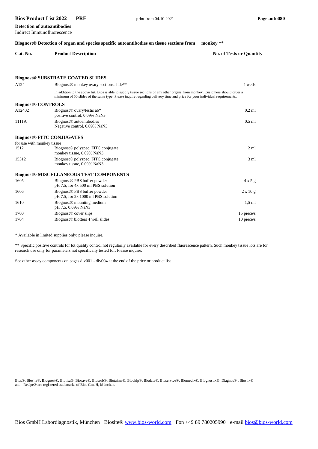**Detection of autoantibodies** Indirect Immunofluorescence

|                            | Biognost <sup>®</sup> Detection of organ and species specific autoantibodies on tissue sections from                                                                                                                                                         | monkey **                |
|----------------------------|--------------------------------------------------------------------------------------------------------------------------------------------------------------------------------------------------------------------------------------------------------------|--------------------------|
| Cat. No.                   | <b>Product Description</b>                                                                                                                                                                                                                                   | No. of Tests or Quantity |
|                            | <b>Biognost® SUBSTRATE COATED SLIDES</b>                                                                                                                                                                                                                     |                          |
| A124                       | Biognost <sup>®</sup> monkey ovary sections slide**                                                                                                                                                                                                          | 4 wells                  |
|                            | In addition to the above list, Bios is able to supply tissue sections of any other organs from monkey. Customers should order a<br>minimum of 50 slides of the same type. Please inquire regarding delivery time and price for your individual requirements. |                          |
| <b>Biognost® CONTROLS</b>  |                                                                                                                                                                                                                                                              |                          |
| A12402                     | Biognost <sup>®</sup> ovary/testis ab*<br>positive control, 0.09% NaN3                                                                                                                                                                                       | $0.2$ ml                 |
| 1111A                      | Biognost <sup>®</sup> autoantibodies<br>Negative control, 0.09% NaN3                                                                                                                                                                                         | $0.5$ ml                 |
|                            | <b>Biognost® FITC CONJUGATES</b>                                                                                                                                                                                                                             |                          |
| for use with monkey tissue |                                                                                                                                                                                                                                                              |                          |
| 1512                       | Biognost <sup>®</sup> polyspec. FITC conjugate<br>monkey tissue, 0.09% NaN3                                                                                                                                                                                  | 2 <sub>m1</sub>          |
| 15312                      | Biognost <sup>®</sup> polyspec. FITC conjugate<br>monkey tissue, 0.09% NaN3                                                                                                                                                                                  | 3 <sub>ml</sub>          |
|                            | <b>Biognost® MISCELLANEOUS TEST COMPONENTS</b>                                                                                                                                                                                                               |                          |
| 1605                       | Biognost <sup>®</sup> PBS buffer powder<br>pH 7.5, for 4x 500 ml PBS solution                                                                                                                                                                                | $4 \times 5$ g           |
| 1606                       | Biognost <sup>®</sup> PBS buffer powder<br>$pH$ 7.5, for 2x 1000 ml PBS solution                                                                                                                                                                             | $2 \times 10 g$          |
| 1610                       | Biognost <sup>®</sup> mounting medium<br>pH 7.5, 0.09% NaN3                                                                                                                                                                                                  | $1.5$ ml                 |
| 1700                       | Biognost <sup>®</sup> cover slips                                                                                                                                                                                                                            | 15 piece/s               |
| 1704                       | Biognost <sup>®</sup> blotters 4 well slides                                                                                                                                                                                                                 | 10 piece/s               |
|                            |                                                                                                                                                                                                                                                              |                          |

\* Available in limited supplies only; please inquire.

\*\* Specific positive controls for lot quality control not regularily available for every described fluorescence pattern. Such monkey tissue lots are for research use only for parameters not specifically tested for. Please inquire.

See other assay components on pages div001 - div004 at the end of the price or product list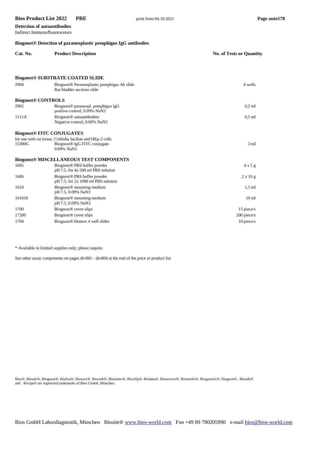**Detection of autoantibodies** Indirect Immunofluorescence

#### **Biognost® Detection of paraneoplastic pemphigus IgG antibodies**

| Cat. No.                  | <b>Product Description</b>                                                                                            | <b>No. of Tests or Quantity</b> |
|---------------------------|-----------------------------------------------------------------------------------------------------------------------|---------------------------------|
|                           |                                                                                                                       |                                 |
|                           | <b>Biognost® SUBSTRATE COATED SLIDE</b>                                                                               |                                 |
| 2904                      | Biognost <sup>®</sup> Paraneoplastic pemphigus Ab slide<br>Rat bladder sections slide                                 | 4 wells                         |
| <b>Biognost® CONTROLS</b> |                                                                                                                       |                                 |
| 2902                      | Biognost <sup>®</sup> paraneopl. pemphigus IgG<br>positive control, 0.09% NaN3                                        | $0.2$ ml                        |
| 1111A                     | Biognost <sup>®</sup> autoantibodies<br>Negative control, 0.09% NaN3                                                  | $0.5$ ml                        |
|                           | <b>Biognost® FITC CONJUGATES</b>                                                                                      |                                 |
| 15300G                    | for use with rat tissue, Crithidia luciliae and HEp-2 cells<br>Biognost <sup>®</sup> IgG FITC conjugate<br>0.09% NaN3 | 3 <sub>m1</sub>                 |
|                           | <b>Biognost® MISCELLANEOUS TEST COMPONENTS</b>                                                                        |                                 |
| 1605                      | Biognost <sup>®</sup> PBS buffer powder<br>pH 7.5, for 4x 500 ml PBS solution                                         | $4 \times 5$ g                  |
| 1606                      | Biognost <sup>®</sup> PBS buffer powder<br>pH 7.5, for 2x 1000 ml PBS solution                                        | $2 \times 10 g$                 |
| 1610                      | Biognost <sup>®</sup> mounting medium<br>pH 7.5, 0.09% NaN3                                                           | $1.5$ ml                        |
| 161010                    | Biognost <sup>®</sup> mounting medium<br>pH 7.5, 0.09% NaN3                                                           | 10 <sub>ml</sub>                |
| 1700                      | Biognost <sup>®</sup> cover slips                                                                                     | 15 piece/s                      |
| 17200                     | Biognost <sup>®</sup> cover slips                                                                                     | $200$ piece/s                   |
| 1704                      | Biognost <sup>®</sup> blotters 4 well slides                                                                          | $10$ piece/s                    |

\* Available in limited supplies only; please inquire.

See other assay components on pages div001 - div004 at the end of the price or product list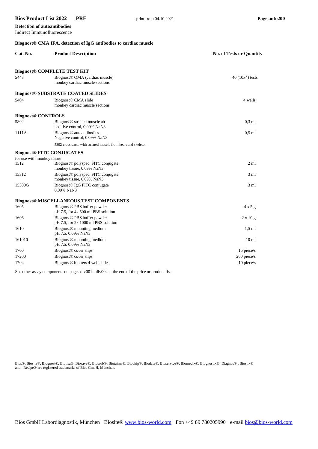**Detection of autoantibodies** Indirect Immunofluorescence

## **Biognost® CMA IFA, detection of IgG antibodies to cardiac muscle**

| Cat. No.                   | <b>Product Description</b>                                                   | <b>No. of Tests or Quantity</b> |
|----------------------------|------------------------------------------------------------------------------|---------------------------------|
|                            | <b>Biognost® COMPLETE TEST KIT</b>                                           |                                 |
| 5448                       | Biognost <sup>®</sup> QMA (cardiac muscle)<br>monkey cardiac muscle sections | $40(10x4)$ tests                |
|                            | <b>Biognost® SUBSTRATE COATED SLIDES</b>                                     |                                 |
| 5404                       | Biognost <sup>®</sup> CMA slide<br>monkey cardiac muscle sections            | 4 wells                         |
| <b>Biognost® CONTROLS</b>  |                                                                              |                                 |
| 5802                       | Biognost <sup>®</sup> striated muscle ab<br>positive control, 0.09% NaN3     | $0.3$ ml                        |
| 1111A                      | Biognost <sup>®</sup> autoantibodies<br>Negative control, 0.09% NaN3         | $0.5$ ml                        |
|                            | 5802 crossreacts with striated muscle from heart and skeleton                |                                 |
|                            | <b>Biognost® FITC CONJUGATES</b>                                             |                                 |
| for use with monkey tissue |                                                                              |                                 |
| 1512                       | Biognost® polyspec. FITC conjugate<br>monkey tissue, 0.09% NaN3              | $2 \text{ ml}$                  |
| 15312                      | Biognost <sup>®</sup> polyspec. FITC conjugate<br>monkey tissue, 0.09% NaN3  | $3 \text{ ml}$                  |
| 15300G                     | Biognost® IgG FITC conjugate<br>0.09% NaN3                                   | $3 \text{ ml}$                  |
|                            | <b>Biognost® MISCELLANEOUS TEST COMPONENTS</b>                               |                                 |
| 1605                       | Biognost® PBS buffer powder<br>pH 7.5, for 4x 500 ml PBS solution            | $4 \times 5$ g                  |
| 1606                       | Biognost® PBS buffer powder<br>$pH$ 7.5, for 2x 1000 ml PBS solution         | $2 \times 10$ g                 |
| 1610                       | Biognost <sup>®</sup> mounting medium<br>pH 7.5, 0.09% NaN3                  | $1.5$ ml                        |
| 161010                     | Biognost <sup>®</sup> mounting medium<br>pH 7.5, 0.09% NaN3                  | 10 <sub>ml</sub>                |
| 1700                       | Biognost <sup>®</sup> cover slips                                            | 15 piece/s                      |
| 17200                      | Biognost <sup>®</sup> cover slips                                            | 200 piece/s                     |
| 1704                       | Biognost <sup>®</sup> blotters 4 well slides                                 | 10 piece/s                      |

See other assay components on pages div001 - div004 at the end of the price or product list